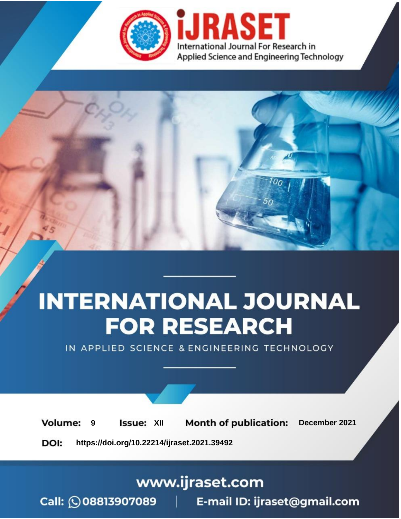

# **INTERNATIONAL JOURNAL FOR RESEARCH**

IN APPLIED SCIENCE & ENGINEERING TECHNOLOGY

**Month of publication: Volume: Issue: XII** December 2021 9 DOI: https://doi.org/10.22214/ijraset.2021.39492

www.ijraset.com

Call: 008813907089 | E-mail ID: ijraset@gmail.com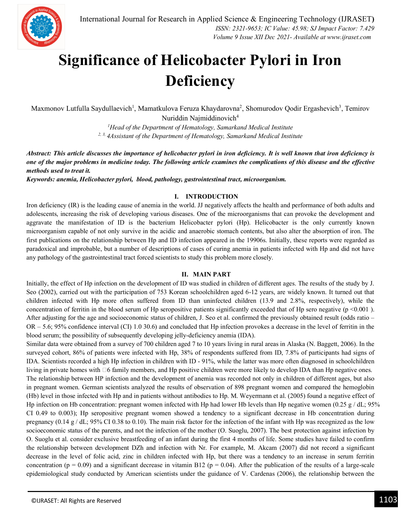

### **Significance of Helicobacter Pylori in Iron Deficiency**

Maxmonov Lutfulla Saydullaevich<sup>1</sup>, Mamatkulova Feruza Khaydarovna<sup>2</sup>, Shomurodov Qodir Ergashevich<sup>3</sup>, Temirov Nuriddin Najmiddinovich<sup>4</sup>

> *<sup>1</sup>Head of the Department of Hematology, Samarkand Medical Institute 2, 3, 4Assistant of the Department of Hematology, Samarkand Medical Institute*

*Abstract: This article discusses the importance of helicobacter pylori in iron deficiency. It is well known that iron deficiency is one of the major problems in medicine today. The following article examines the complications of this disease and the effective methods used to treat it.*

*Keywords: anemia, Helicobacter pylori, blood, pathology, gastrointestinal tract, microorganism.*

#### **I. INTRODUCTION**

Iron deficiency (IR) is the leading cause of anemia in the world. JJ negatively affects the health and performance of both adults and adolescents, increasing the risk of developing various diseases. One of the microorganisms that can provoke the development and aggravate the manifestation of ID is the bacterium Helicobacter pylori (Hp). Helicobacter is the only currently known microorganism capable of not only survive in the acidic and anaerobic stomach contents, but also alter the absorption of iron. The first publications on the relationship between Hp and ID infection appeared in the 19906s. Initially, these reports were regarded as paradoxical and improbable, but a number of descriptions of cases of curing anemia in patients infected with Hp and did not have any pathology of the gastrointestinal tract forced scientists to study this problem more closely.

#### **II. MAIN PART**

Initially, the effect of Hp infection on the development of ID was studied in children of different ages. The results of the study by J. Seo (2002), carried out with the participation of 753 Korean schoolchildren aged 6-12 years, are widely known. It turned out that children infected with Hp more often suffered from ID than uninfected children (13.9 and 2.8%, respectively), while the concentration of ferritin in the blood serum of Hp seropositive patients significantly exceeded that of Hp sero negative ( $p \le 0.001$ ). After adjusting for the age and socioeconomic status of children, J. Seo et al. confirmed the previously obtained result (odds ratio – OR – 5.6; 95% confidence interval (CI) 1.0 30.6) and concluded that Hp infection provokes a decrease in the level of ferritin in the blood serum; the possibility of subsequently developing jelly-deficiency anemia (IDA).

Similar data were obtained from a survey of 700 children aged 7 to 10 years living in rural areas in Alaska (N. Baggett, 2006). In the surveyed cohort, 86% of patients were infected with Hp, 38% of respondents suffered from ID, 7.8% of participants had signs of IDA. Scientists recorded a high Hp infection in children with ID - 91%, while the latter was more often diagnosed in schoolchildren living in private homes with  $\Box 6$  family members, and Hp positive children were more likely to develop IDA than Hp negative ones. The relationship between HP infection and the development of anemia was recorded not only in children of different ages, but also in pregnant women. German scientists analyzed the results of observation of 898 pregnant women and compared the hemoglobin (Hb) level in those infected with Hp and in patients without antibodies to Hp. M. Weyermann et al. (2005) found a negative effect of Hp infection on Hb concentration: pregnant women infected with Hp had lower Hb levels than Hp negative women  $(0.25 \text{ g} / dL; 95\%$ CI 0.49 to 0.003); Hp seropositive pregnant women showed a tendency to a significant decrease in Hb concentration during pregnancy (0.14 g / dL; 95% CI 0.38 to 0.10). The main risk factor for the infection of the infant with Hp was recognized as the low socioeconomic status of the parents, and not the infection of the mother (O. Suoglu, 2007). The best protection against infection by O. Suoglu et al. consider exclusive breastfeeding of an infant during the first 4 months of life. Some studies have failed to confirm the relationship between development DZh and infection with Nr. For example, M. Akcam (2007) did not record a significant decrease in the level of folic acid, zinc in children infected with Hp, but there was a tendency to an increase in serum ferritin concentration ( $p = 0.09$ ) and a significant decrease in vitamin B12 ( $p = 0.04$ ). After the publication of the results of a large-scale epidemiological study conducted by American scientists under the guidance of V. Cardenas (2006), the relationship between the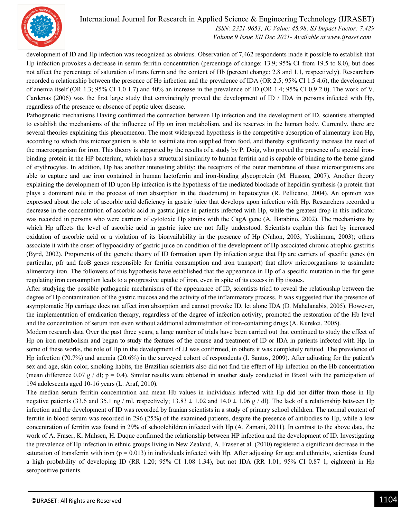

development of ID and Hp infection was recognized as obvious. Observation of 7,462 respondents made it possible to establish that Hp infection provokes a decrease in serum ferritin concentration (percentage of change: 13.9; 95% CI from 19.5 to 8.0), but does not affect the percentage of saturation of trans ferrin and the content of Hb (percent change: 2.8 and 1.1, respectively). Researchers recorded a relationship between the presence of Hp infection and the prevalence of IDA (OR 2.5; 95% CI 1.5 4.6), the development of anemia itself (OR 1.3; 95% CI 1.0 1.7) and 40% an increase in the prevalence of ID (OR 1.4; 95% CI 0.9 2.0). The work of V. Cardenas (2006) was the first large study that convincingly proved the development of ID / IDA in persons infected with Hp, regardless of the presence or absence of peptic ulcer disease.

Pathogenetic mechanisms Having confirmed the connection between Hp infection and the development of ID, scientists attempted to establish the mechanisms of the influence of Hp on iron metabolism. and its reserves in the human body. Currently, there are several theories explaining this phenomenon. The most widespread hypothesis is the competitive absorption of alimentary iron Hp, according to which this microorganism is able to assimilate iron supplied from food, and thereby significantly increase the need of the macroorganism for iron. This theory is supported by the results of a study by P. Doig, who proved the presence of a special ironbinding protein in the HP bacterium, which has a structural similarity to human ferritin and is capable of binding to the heme gland of erythrocytes. In addition, Hp has another interesting ability: the receptors of the outer membrane of these microorganisms are able to capture and use iron contained in human lactoferrin and iron-binding glycoprotein (M. Husson, 2007). Another theory explaining the development of ID upon Hp infection is the hypothesis of the mediated blockade of hepcidin synthesis (a protein that plays a dominant role in the process of iron absorption in the duodenum) in hepatocytes (R. Pellicano, 2004). An opinion was expressed about the role of ascorbic acid deficiency in gastric juice that develops upon infection with Hp. Researchers recorded a decrease in the concentration of ascorbic acid in gastric juice in patients infected with Hp, while the greatest drop in this indicator was recorded in persons who were carriers of cytotoxic Hp strains with the CagA gene (A. Barabino, 2002). The mechanisms by which Нр affects the level of ascorbic acid in gastric juice are not fully understood. Scientists explain this fact by increased oxidation of ascorbic acid or a violation of its bioavailability in the presence of Нр (Nahon, 2003; Yoshimura, 2003); others associate it with the onset of hypoacidity of gastric juice on condition of the development of Hp associated chronic atrophic gastritis (Byrd, 2002). Proponents of the genetic theory of ID formation upon Hp infection argue that Hp are carriers of specific genes (in particular, pfr and feoB genes responsible for ferritin consumption and iron transport) that allow microorganisms to assimilate alimentary iron. The followers of this hypothesis have established that the appearance in Hp of a specific mutation in the fur gene regulating iron consumption leads to a progressive uptake of iron, even in spite of its excess in Hp tissues.

After studying the possible pathogenic mechanisms of the appearance of ID, scientists tried to reveal the relationship between the degree of Hp contamination of the gastric mucosa and the activity of the inflammatory process. It was suggested that the presence of asymptomatic Hp carriage does not affect iron absorption and cannot provoke ID, let alone IDA (D. Mahalanabis, 2005). However, the implementation of eradication therapy, regardless of the degree of infection activity, promoted the restoration of the Hb level and the concentration of serum iron even without additional administration of iron-containing drugs (A. Kurekci, 2005).

Modern research data Over the past three years, a large number of trials have been carried out that continued to study the effect of Hp on iron metabolism and began to study the features of the course and treatment of ID or IDA in patients infected with Hp. In some of these works, the role of Hp in the development of JJ was confirmed, in others it was completely refuted. The prevalence of Hp infection (70.7%) and anemia (20.6%) in the surveyed cohort of respondents (I. Santos, 2009). After adjusting for the patient's sex and age, skin color, smoking habits, the Brazilian scientists also did not find the effect of Hp infection on the Hb concentration (mean difference 0.07 g / dl;  $p = 0.4$ ). Similar results were obtained in another study conducted in Brazil with the participation of 194 adolescents aged 10-16 years (L. Araf, 2010).

The median serum ferritin concentration and mean Hb values in individuals infected with Hp did not differ from those in Hp negative patients (33.6 and 35.1 ng / ml, respectively; 13.83  $\pm$  1.02 and 14.0  $\pm$  1.06 g / dl). The lack of a relationship between Hp infection and the development of ID was recorded by Iranian scientists in a study of primary school children. The normal content of ferritin in blood serum was recorded in 296 (25%) of the examined patients, despite the presence of antibodies to Hp, while a low concentration of ferritin was found in 29% of schoolchildren infected with Hp (A. Zamani, 2011). In contrast to the above data, the work of A. Fraser, K. Muhsen, H. Duque confirmed the relationship between HP infection and the development of ID. Investigating the prevalence of Hp infection in ethnic groups living in New Zealand, A. Fraser et al. (2010) registered a significant decrease in the saturation of transferrin with iron  $(p = 0.013)$  in individuals infected with Hp. After adjusting for age and ethnicity, scientists found a high probability of developing ID (RR 1.20; 95% CI 1.08 1.34), but not IDA (RR 1.01; 95% CI 0.87 1, eighteen) in Hp seropositive patients.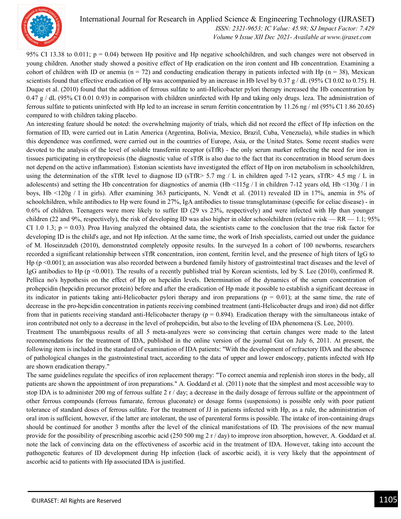

International Journal for Research in Applied Science & Engineering Technology (IJRASET**)**  *ISSN: 2321-9653; IC Value: 45.98; SJ Impact Factor: 7.429*

 *Volume 9 Issue XII Dec 2021- Available at www.ijraset.com*

95% CI 13.38 to 0.011;  $p = 0.04$ ) between Hp positive and Hp negative schoolchildren, and such changes were not observed in young children. Another study showed a positive effect of Hp eradication on the iron content and Hb concentration. Examining a cohort of children with ID or anemia ( $n = 72$ ) and conducting eradication therapy in patients infected with Hp ( $n = 38$ ), Mexican scientists found that effective eradication of Hp was accompanied by an increase in Hb level by 0.37 g / dL (95% CI 0.02 to 0.75). H. Duque et al. (2010) found that the addition of ferrous sulfate to anti-Helicobacter pylori therapy increased the Hb concentration by 0.47 g / dL (95% CI 0.01 0.93) in comparison with children uninfected with Hp and taking only drugs. leza. The administration of ferrous sulfate to patients uninfected with Hp led to an increase in serum ferritin concentration by 11.26 ng / ml (95% CI 1.86 20.65) compared to with children taking placebo.

An interesting feature should be noted: the overwhelming majority of trials, which did not record the effect of Hp infection on the formation of ID, were carried out in Latin America (Argentina, Bolivia, Mexico, Brazil, Cuba, Venezuela), while studies in which this dependence was confirmed, were carried out in the countries of Europe, Asia, or the United States. Some recent studies were devoted to the analysis of the level of soluble transferrin receptor (sTfR) - the only serum marker reflecting the need for iron in tissues participating in erythropoiesis (the diagnostic value of sTfR is also due to the fact that its concentration in blood serum does not depend on the active inflammation). Estonian scientists have investigated the effect of Hp on iron metabolism in schoolchildren, using the determination of the sTfR level to diagnose ID (sTfR> 5.7 mg / L in children aged 7-12 years, sTfR> 4.5 mg / L in adolescents) and setting the Hb concentration for diagnostics of anemia (Hb  $\lt 115g / 1$  in children 7-12 years old, Hb  $\lt 130g / 1$  in boys, Hb <120g / l in girls). After examining 363 participants, N. Vendt et al. (2011) revealed ID in 17%, anemia in 5% of schoolchildren, while antibodies to Hp were found in 27%, IgA antibodies to tissue transglutaminase (specific for celiac disease) - in 0.6% of children. Teenagers were more likely to suffer ID (29 vs 23%, respectively) and were infected with Hp than younger children (22 and 9%, respectively), the risk of developing ID was also higher in older schoolchildren (relative risk — RR — 1.1; 95% CI 1.0 1.3;  $p = 0.03$ ). Proa Having analyzed the obtained data, the scientists came to the conclusion that the true risk factor for developing ID is the child's age, and not Hp infection. At the same time, the work of Irish specialists, carried out under the guidance of M. Hoseinzadeh (2010), demonstrated completely opposite results. In the surveyed In a cohort of 100 newborns, researchers recorded a significant relationship between sTfR concentration, iron content, ferritin level, and the presence of high titers of IgG to Hp (p <0.001); an association was also recorded between a burdened family history of gastrointestinal tract diseases and the level of IgG antibodies to Hp (p <0.001). The results of a recently published trial by Korean scientists, led by S. Lee (2010), confirmed R. Pellica no's hypothesis on the effect of Hp on hepcidin levels. Determination of the dynamics of the serum concentration of prohepcidin (hepcidin precursor protein) before and after the eradication of Hp made it possible to establish a significant decrease in its indicator in patients taking anti-Helicobacter pylori therapy and iron preparations ( $p = 0.01$ ); at the same time, the rate of decrease in the pro-hepcidin concentration in patients receiving combined treatment (anti-Helicobacter drugs and iron) did not differ from that in patients receiving standard anti-Helicobacter therapy  $(p = 0.894)$ . Eradication therapy with the simultaneous intake of iron contributed not only to a decrease in the level of prohepcidin, but also to the leveling of IDA phenomena (S. Lee, 2010).

Treatment The unambiguous results of all 5 meta-analyzes were so convincing that certain changes were made to the latest recommendations for the treatment of IDA, published in the online version of the journal Gut on July 6, 2011. At present, the following item is included in the standard of examination of IDA patients: "With the development of refractory IDA and the absence of pathological changes in the gastrointestinal tract, according to the data of upper and lower endoscopy, patients infected with Hp are shown eradication therapy."

The same guidelines regulate the specifics of iron replacement therapy: "To correct anemia and replenish iron stores in the body, all patients are shown the appointment of iron preparations." A. Goddard et al. (2011) note that the simplest and most accessible way to stop IDA is to administer 200 mg of ferrous sulfate 2 r / day; a decrease in the daily dosage of ferrous sulfate or the appointment of other ferrous compounds (ferrous fumarate, ferrous gluconate) or dosage forms (suspensions) is possible only with poor patient tolerance of standard doses of ferrous sulfate. For the treatment of JJ in patients infected with Hp, as a rule, the administration of oral iron is sufficient, however, if the latter are intolerant, the use of parenteral forms is possible. The intake of iron-containing drugs should be continued for another 3 months after the level of the clinical manifestations of ID. The provisions of the new manual provide for the possibility of prescribing ascorbic acid (250 500 mg 2 r / day) to improve iron absorption, however, A. Goddard et al. note the lack of convincing data on the effectiveness of ascorbic acid in the treatment of IDA. However, taking into account the pathogenetic features of ID development during Hp infection (lack of ascorbic acid), it is very likely that the appointment of ascorbic acid to patients with Hp associated IDA is justified.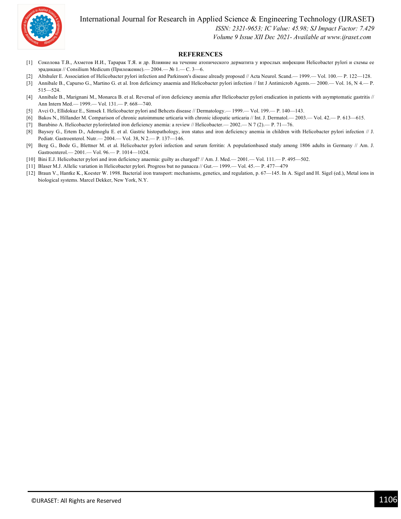

International Journal for Research in Applied Science & Engineering Technology (IJRASET**)**

 *ISSN: 2321-9653; IC Value: 45.98; SJ Impact Factor: 7.429*

 *Volume 9 Issue XII Dec 2021- Available at www.ijraset.com*

#### **REFERENCES**

- [1] Соколова Т.В., Ахметов И.И., Тарарак Т.Я. и др. Влияние на течение атопического дерматита у взрослых инфекции Helicobacter pylori и схемы ее эрадикаци // Consilium Medicum (Приложение).— 2004.— № 1.— С. 3—6.
- [2] Altshuler E. Association of Helicobacter pylori infection and Parkinson's disease already proposed // Acta Neurol. Scand.— 1999.— Vol. 100.— P. 122—128.
- [3] Annibale B., Capurso G., Martino G. et al. Iron deficiency anaemia and Helicobacter pylori infection // Int J Antimicrob Agents.— 2000.— Vol. 16, N 4.— P. 515—524.
- [4] Annibale B., Marignani M., Monarca B. et al. Reversal of iron deficiency anemia after Helicobacter pylori eradication in patients with asymptomatic gastritis // Ann Intern Med.— 1999.— Vol. 131.— P. 668—740.
- [5] Avci O., Ellidokuz E., Simsek I. Helicobacter pylori and Behcets disease // Dermatology.— 1999.— Vol. 199.— P. 140—143.
- [6] Bakos N., Hillander M. Comparison of chronic autoimmune urticaria with chronic idiopatic urticaria // Int. J. Dermatol.— 2003.— Vol. 42.— P. 613—615.
- [7] Barabino A. Helicobacter pylorirelated iron deficiency anemia: a review // Helicobacter.— 2002.— N 7 (2).— P. 71—76.
- [8] Baysoy G., Ertem D., Ademoglu E. et al. Gastric histopathology, iron status and iron deficiency anemia in children with Helicobacter pylori infection // J. Pediatr. Gastroenterol. Nutr.— 2004.— Vol. 38, N 2.— P. 137—146.
- [9] Berg G., Bode G., Blettner M. et al. Helicobacter pylori infection and serum ferritin: A populationbased study among 1806 adults in Germany // Am. J. Gastroenterol.— 2001.— Vol. 96.— P. 1014—1024.
- [10] Bini E.J. Helicobacter pylori and iron deficiency anaemia: guilty as charged? // Am. J. Med.— 2001.— Vol. 111.— P. 495—502.
- [11] Blaser M.J. Allelic variation in Helicobacter pylori. Progress but no panacea // Gut.— 1999.— Vol. 45.— P. 477—479
- [12] Braun V., Hantke K., Koester W. 1998. Bacterial iron transport: mechanisms, genetics, and regulation, p. 67-145. In A. Sigel and H. Sigel (ed.), Metal ions in biological systems. Marcel Dekker, New York, N.Y.